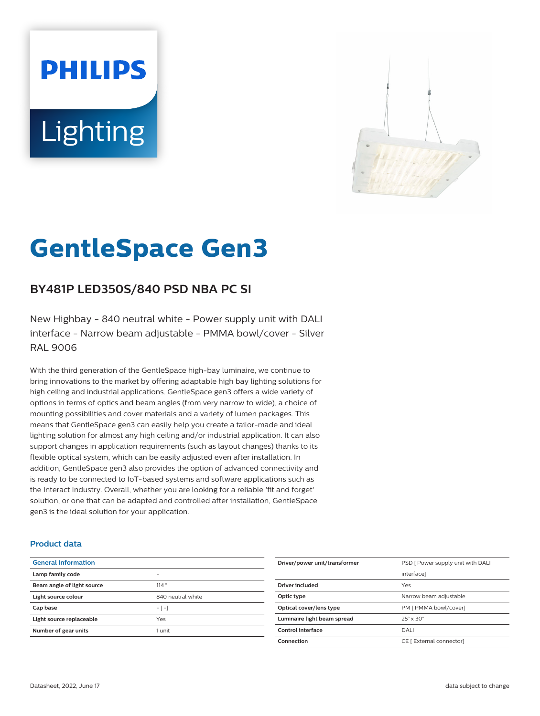# **PHILIPS Lighting**



# **GentleSpace Gen3**

# **BY481P LED350S/840 PSD NBA PC SI**

New Highbay - 840 neutral white - Power supply unit with DALI interface - Narrow beam adjustable - PMMA bowl/cover - Silver RAL 9006

With the third generation of the GentleSpace high-bay luminaire, we continue to bring innovations to the market by offering adaptable high bay lighting solutions for high ceiling and industrial applications. GentleSpace gen3 offers a wide variety of options in terms of optics and beam angles (from very narrow to wide), a choice of mounting possibilities and cover materials and a variety of lumen packages. This means that GentleSpace gen3 can easily help you create a tailor-made and ideal lighting solution for almost any high ceiling and/or industrial application. It can also support changes in application requirements (such as layout changes) thanks to its flexible optical system, which can be easily adjusted even after installation. In addition, GentleSpace gen3 also provides the option of advanced connectivity and is ready to be connected to IoT-based systems and software applications such as the Interact Industry. Overall, whether you are looking for a reliable 'fit and forget' solution, or one that can be adapted and controlled after installation, GentleSpace gen3 is the ideal solution for your application.

#### **Product data**

| <b>General Information</b> |                   |
|----------------------------|-------------------|
| Lamp family code           | -                 |
| Beam angle of light source | 114°              |
| Light source colour        | 840 neutral white |
| Cap base                   | $-1-1$            |
| Light source replaceable   | Yes               |
| Number of gear units       | 1 unit            |

| Driver/power unit/transformer | PSD [ Power supply unit with DALI |
|-------------------------------|-----------------------------------|
|                               | interfacel                        |
| Driver included               | Yes                               |
| Optic type                    | Narrow beam adjustable            |
| Optical cover/lens type       | PM [ PMMA bowl/cover]             |
| Luminaire light beam spread   | $25^\circ \times 30^\circ$        |
| Control interface             | <b>DALI</b>                       |
| Connection                    | CE [ External connector]          |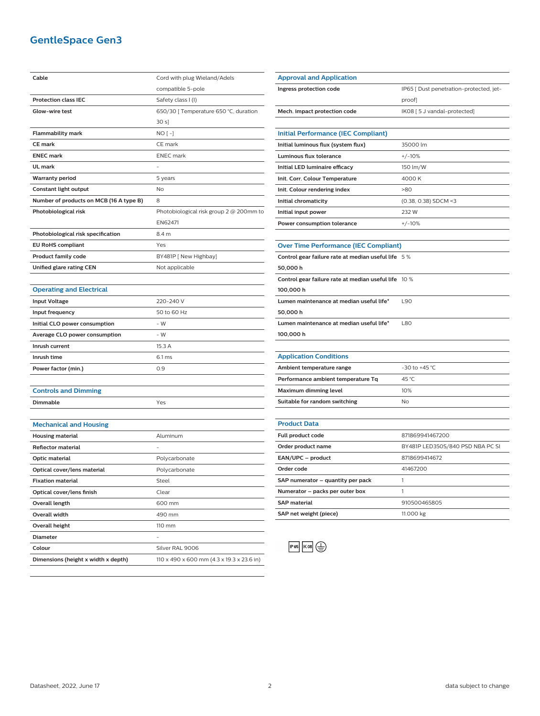# **GentleSpace Gen3**

| Cable                                   | Cord with plug Wieland/Adels                     |
|-----------------------------------------|--------------------------------------------------|
|                                         | compatible 5-pole                                |
| <b>Protection class IEC</b>             | Safety class I (I)                               |
| Glow-wire test                          | 650/30 [ Temperature 650 °C, duration            |
|                                         | 30 s]                                            |
| <b>Flammability mark</b>                | $NO[-]$                                          |
| <b>CE</b> mark                          | CE mark                                          |
| <b>ENEC mark</b>                        | <b>ENEC</b> mark                                 |
| UL mark                                 |                                                  |
| <b>Warranty period</b>                  | 5 years                                          |
| <b>Constant light output</b>            | No                                               |
| Number of products on MCB (16 A type B) | 8                                                |
| Photobiological risk                    | Photobiological risk group $2 \otimes 200$ mm to |
|                                         | EN62471                                          |
| Photobiological risk specification      | 8.4 m                                            |
| <b>EU RoHS compliant</b>                | Yes                                              |
| <b>Product family code</b>              | BY481P [ New Highbay]                            |
| Unified glare rating CEN                | Not applicable                                   |
|                                         |                                                  |
| <b>Operating and Electrical</b>         |                                                  |
| <b>Input Voltage</b>                    | 220-240 V                                        |
| Input frequency                         | 50 to 60 Hz                                      |
| Initial CLO power consumption           | - W                                              |
| Average CLO power consumption           | - W                                              |
| Inrush current                          | 15.3 A                                           |
| Inrush time                             | 6.1 ms                                           |
| Power factor (min.)                     | 0.9                                              |
|                                         |                                                  |
| <b>Controls and Dimming</b>             |                                                  |
| Dimmable                                | Yes                                              |
|                                         |                                                  |
| <b>Mechanical and Housing</b>           |                                                  |
| <b>Housing material</b>                 | Aluminum                                         |
| <b>Reflector material</b>               |                                                  |
| <b>Optic material</b>                   | Polycarbonate                                    |
| Optical cover/lens material             | Polycarbonate                                    |
| <b>Fixation material</b>                | Steel                                            |
| Optical cover/lens finish               | Clear                                            |
| Overall length                          | 600 mm                                           |
| Overall width                           | 490 mm                                           |
| Overall height                          | 110 mm                                           |
| <b>Diameter</b>                         |                                                  |
| Colour                                  | Silver RAL 9006                                  |
| Dimensions (height x width x depth)     | 110 x 490 x 600 mm (4.3 x 19.3 x 23.6 in)        |

| <b>Approval and Application</b>                      |                                         |
|------------------------------------------------------|-----------------------------------------|
| Ingress protection code                              | IP65 [ Dust penetration-protected, jet- |
|                                                      | proof]                                  |
| Mech. impact protection code                         | IK08 [5 J vandal-protected]             |
|                                                      |                                         |
| <b>Initial Performance (IEC Compliant)</b>           |                                         |
| Initial luminous flux (system flux)                  | 35000 lm                                |
| Luminous flux tolerance                              | $+/-10%$                                |
| Initial LED luminaire efficacy                       | 150 lm/W                                |
| Init. Corr. Colour Temperature                       | 4000 K                                  |
| Init. Colour rendering index                         | >80                                     |
| Initial chromaticity                                 | (0.38, 0.38) SDCM <3                    |
| Initial input power                                  | 232W                                    |
| Power consumption tolerance                          | $+/-10%$                                |
|                                                      |                                         |
| <b>Over Time Performance (IEC Compliant)</b>         |                                         |
| Control gear failure rate at median useful life 5%   |                                         |
| 50,000 h                                             |                                         |
| Control gear failure rate at median useful life 10 % |                                         |
| 100,000 h                                            |                                         |
| Lumen maintenance at median useful life*             | L90                                     |
| 50,000 h                                             |                                         |
| Lumen maintenance at median useful life*             | <b>L80</b>                              |
| 100,000 h                                            |                                         |
|                                                      |                                         |
| <b>Application Conditions</b>                        |                                         |
| Ambient temperature range                            | -30 to +45 °C                           |
| Performance ambient temperature Tq                   | 45 °C                                   |
| <b>Maximum dimming level</b>                         | 10%                                     |
| Suitable for random switching                        | No                                      |
|                                                      |                                         |
| <b>Product Data</b>                                  |                                         |
| Full product code                                    | 871869941467200                         |
| Order product name                                   | BY481P LED350S/840 PSD NBA PC SI        |
| EAN/UPC - product                                    | 8718699414672                           |

**Order code** 41467200 **SAP numerator – quantity per pack** 1 **Numerator – packs per outer box** 1

 $P65$   $K08$   $Q$ 

**SAP material** 910500465805 **SAP net weight (piece)** 11.000 kg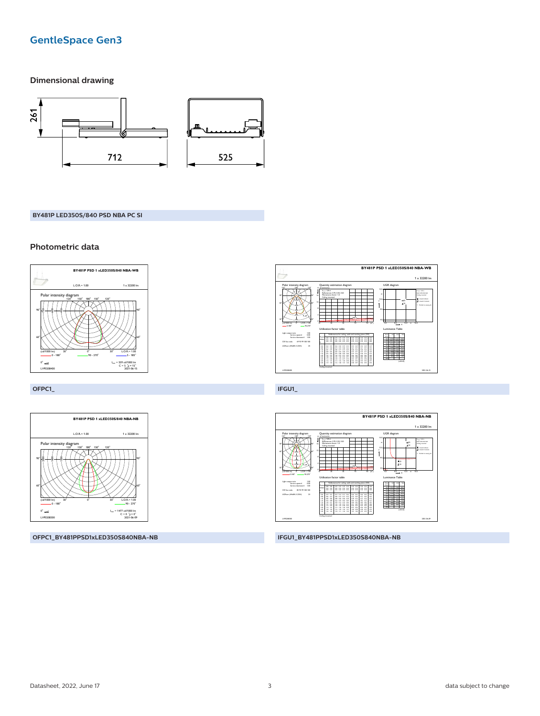# **GentleSpace Gen3**

### **Dimensional drawing**



#### BY481P LED350S/840 PSD NBA PC SI

#### Photometric data





OFPC1



OFPC1\_BY481PPSD1xLED350S840NBA-NB



IFGU1\_BY481PPSD1xLED350S840NBA-NB

IFGU1